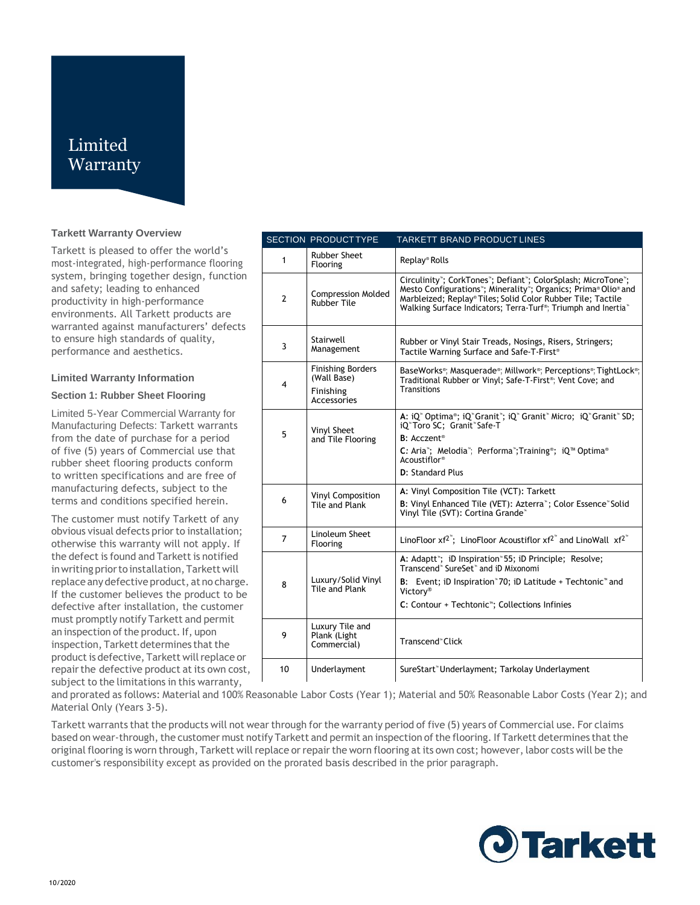# Limited **Warranty**

# **Tarkett Warranty Overview**

Tarkett is pleased to offer the world's most-integrated, high-performance flooring system, bringing together design, function and safety; leading to enhanced productivity in high-performance environments. All Tarkett products are warranted against manufacturers' defects to ensure high standards of quality, performance and aesthetics.

#### **Limited Warranty Information**

## **Section 1: Rubber Sheet Flooring**

Limited 5-Year Commercial Warranty for Manufacturing Defects: Tarkett warrants from the date of purchase for a period of five (5) years of Commercial use that rubber sheet flooring products conform to written specifications and are free of manufacturing defects, subject to the terms and conditions specified herein.

The customer must notify Tarkett of any obvious visual defects prior to installation; otherwise this warranty will not apply. If the defect is found and Tarkett is notified in writing prior to installation, Tarkett will replace any defective product, at no charge. If the customer believes the product to be defective after installation, the customer must promptly notify Tarkett and permit an inspection of the product. If, upon inspection, Tarkett determines that the product is defective, Tarkett will replace or repair the defective product at its own cost, subject to the limitations in this warranty,

|                         | <b>SECTION PRODUCTTYPE</b>                                          | <b>TARKETT BRAND PRODUCT LINES</b>                                                                                                                                                                                                                                         |
|-------------------------|---------------------------------------------------------------------|----------------------------------------------------------------------------------------------------------------------------------------------------------------------------------------------------------------------------------------------------------------------------|
| 1                       | <b>Rubber Sheet</b><br>Flooring                                     | Replay® Rolls                                                                                                                                                                                                                                                              |
| $\overline{2}$          | <b>Compression Molded</b><br><b>Rubber Tile</b>                     | Circulinity"; CorkTones"; Defiant"; ColorSplash; MicroTone";<br>Mesto Configurations"; Minerality"; Organics; Prima® Olio® and<br>Marbleized; Replay® Tiles; Solid Color Rubber Tile; Tactile<br>Walking Surface Indicators; Terra-Turf®; Triumph and Inertia <sup>®</sup> |
| 3                       | Stairwell<br>Management                                             | Rubber or Vinyl Stair Treads, Nosings, Risers, Stringers;<br>Tactile Warning Surface and Safe-T-First <sup>®</sup>                                                                                                                                                         |
| $\overline{\mathbf{4}}$ | <b>Finishing Borders</b><br>(Wall Base)<br>Finishing<br>Accessories | BaseWorks <sup>®</sup> ; Masquerade®; Millwork®; Perceptions®; TightLock®;<br>Traditional Rubber or Vinyl; Safe-T-First <sup>®</sup> ; Vent Cove; and<br><b>Transitions</b>                                                                                                |
| 5                       | Vinyl Sheet<br>and Tile Flooring                                    | A: iQ" Optima®; iQ" Granit"; iQ" Granit" Micro; iQ" Granit" SD;<br>iQ"Toro SC; Granit"Safe-T<br><b>B</b> : Acczent <sup>®</sup><br>C: Aria"; Melodia"; Performa"; Training®; iQ™ Optima®<br>Acoustiflor <sup>®</sup><br>D: Standard Plus                                   |
| 6                       | Vinyl Composition<br>Tile and Plank                                 | A: Vinyl Composition Tile (VCT): Tarkett<br>B: Vinyl Enhanced Tile (VET): Azterra"; Color Essence" Solid<br>Vinyl Tile (SVT): Cortina Grande*                                                                                                                              |
| $\overline{7}$          | Linoleum Sheet<br>Flooring                                          | LinoFloor $xf^{2}$ ; LinoFloor Acoustiflor $xf^{2}$ and LinoWall $xf^{2}$                                                                                                                                                                                                  |
| 8                       | Luxury/Solid Vinyl<br>Tile and Plank                                | A: Adaptt"; iD Inspiration" 55; iD Principle; Resolve;<br>Transcend <sup>®</sup> SureSet <sup>®</sup> and iD Mixonomi<br>B: Event; iD Inspiration 70; iD Latitude + Techtonic <sup>*</sup> and<br>Victory®<br>C: Contour + Techtonic <sup>11</sup> ; Collections Infinies  |
| 9                       | Luxury Tile and<br>Plank (Light<br>Commercial)                      | Transcend <sup>®</sup> Click                                                                                                                                                                                                                                               |
| 10                      | Underlayment                                                        | SureStart" Underlayment; Tarkolay Underlayment                                                                                                                                                                                                                             |

and prorated as follows: Material and 100% Reasonable Labor Costs (Year 1); Material and 50% Reasonable Labor Costs (Year 2); and Material Only (Years 3-5).

Tarkett warrants that the products will not wear through for the warranty period of five (5) years of Commercial use. For claims based on wear-through, the customer must notify Tarkett and permit an inspection of the flooring. If Tarkett determines that the original flooring is worn through, Tarkett will replace or repair the worn flooring at its own cost; however, labor costs will be the customer's responsibility except as provided on the prorated basis described in the prior paragraph.

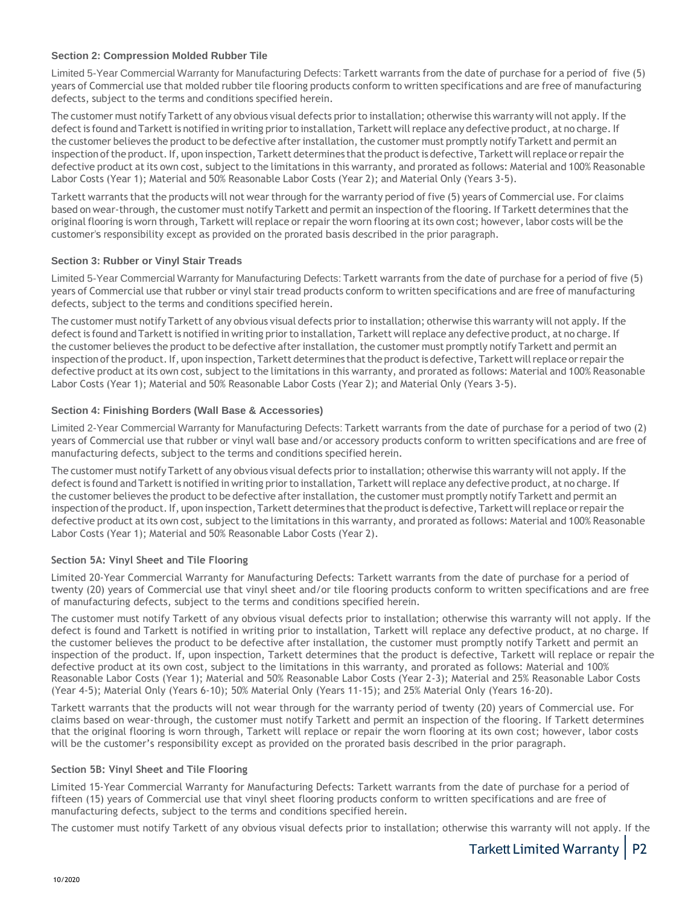## **Section 2: Compression Molded Rubber Tile**

Limited 5-Year Commercial Warranty for Manufacturing Defects: Tarkett warrants from the date of purchase for a period of five (5) years of Commercial use that molded rubber tile flooring products conform to written specifications and are free of manufacturing defects, subject to the terms and conditions specified herein.

The customer must notify Tarkett of any obvious visual defects prior to installation; otherwise this warranty will not apply. If the defect is found and Tarkett is notified in writing prior to installation, Tarkett will replace any defective product, at no charge. If the customer believes the product to be defective after installation, the customer must promptly notify Tarkett and permit an inspection of the product. If, upon inspection, Tarkett determines that the product is defective, Tarkett will replace or repair the defective product at its own cost, subject to the limitations in this warranty, and prorated as follows: Material and 100% Reasonable Labor Costs (Year 1); Material and 50% Reasonable Labor Costs (Year 2); and Material Only (Years 3-5).

Tarkett warrants that the products will not wear through for the warranty period of five (5) years of Commercial use. For claims based on wear-through, the customer must notify Tarkett and permit an inspection of the flooring. If Tarkett determines that the original flooring is worn through, Tarkett will replace or repair the worn flooring at its own cost; however, labor costs will be the customer's responsibility except as provided on the prorated basis described in the prior paragraph.

# **Section 3: Rubber or Vinyl Stair Treads**

Limited 5-Year Commercial Warranty for Manufacturing Defects: Tarkett warrants from the date of purchase for a period of five (5) years of Commercial use that rubber or vinyl stair tread products conform to written specifications and are free of manufacturing defects, subject to the terms and conditions specified herein.

The customer must notify Tarkett of any obvious visual defects prior to installation; otherwise this warranty will not apply. If the defect is found and Tarkett is notified in writing prior to installation, Tarkett will replace any defective product, at no charge. If the customer believes the product to be defective after installation, the customer must promptly notify Tarkett and permit an inspection of the product. If, upon inspection, Tarkett determines that the product is defective, Tarkett will replace or repair the defective product at its own cost, subject to the limitations in this warranty, and prorated as follows: Material and 100% Reasonable Labor Costs (Year 1); Material and 50% Reasonable Labor Costs (Year 2); and Material Only (Years 3-5).

# **Section 4: Finishing Borders (Wall Base & Accessories)**

Limited 2-Year Commercial Warranty for Manufacturing Defects: Tarkett warrants from the date of purchase for a period of two (2) years of Commercial use that rubber or vinyl wall base and/or accessory products conform to written specifications and are free of manufacturing defects, subject to the terms and conditions specified herein.

The customer must notify Tarkett of any obvious visual defects prior to installation; otherwise this warranty will not apply. If the defect is found and Tarkett is notified in writing prior to installation, Tarkett will replace any defective product, at no charge. If the customer believes the product to be defective after installation, the customer must promptly notify Tarkett and permit an inspection of the product. If, upon inspection, Tarkett determines that the product is defective, Tarkett will replace or repair the defective product at its own cost, subject to the limitations in this warranty, and prorated as follows: Material and 100% Reasonable Labor Costs (Year 1); Material and 50% Reasonable Labor Costs (Year 2).

# **Section 5A: Vinyl Sheet and Tile Flooring**

Limited 20-Year Commercial Warranty for Manufacturing Defects: Tarkett warrants from the date of purchase for a period of twenty (20) years of Commercial use that vinyl sheet and/or tile flooring products conform to written specifications and are free of manufacturing defects, subject to the terms and conditions specified herein.

The customer must notify Tarkett of any obvious visual defects prior to installation; otherwise this warranty will not apply. If the defect is found and Tarkett is notified in writing prior to installation, Tarkett will replace any defective product, at no charge. If the customer believes the product to be defective after installation, the customer must promptly notify Tarkett and permit an inspection of the product. If, upon inspection, Tarkett determines that the product is defective, Tarkett will replace or repair the defective product at its own cost, subject to the limitations in this warranty, and prorated as follows: Material and 100% Reasonable Labor Costs (Year 1); Material and 50% Reasonable Labor Costs (Year 2-3); Material and 25% Reasonable Labor Costs (Year 4-5); Material Only (Years 6-10); 50% Material Only (Years 11-15); and 25% Material Only (Years 16-20).

Tarkett warrants that the products will not wear through for the warranty period of twenty (20) years of Commercial use. For claims based on wear-through, the customer must notify Tarkett and permit an inspection of the flooring. If Tarkett determines that the original flooring is worn through, Tarkett will replace or repair the worn flooring at its own cost; however, labor costs will be the customer's responsibility except as provided on the prorated basis described in the prior paragraph.

#### **Section 5B: Vinyl Sheet and Tile Flooring**

Limited 15-Year Commercial Warranty for Manufacturing Defects: Tarkett warrants from the date of purchase for a period of fifteen (15) years of Commercial use that vinyl sheet flooring products conform to written specifications and are free of manufacturing defects, subject to the terms and conditions specified herein.

The customer must notify Tarkett of any obvious visual defects prior to installation; otherwise this warranty will not apply. If the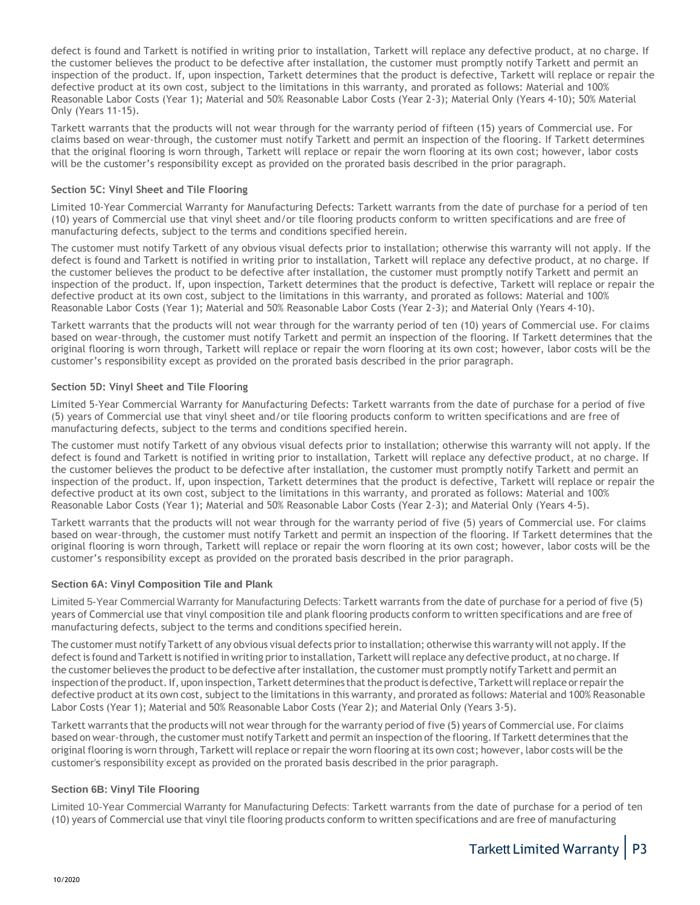defect is found and Tarkett is notified in writing prior to installation, Tarkett will replace any defective product, at no charge. If the customer believes the product to be defective after installation, the customer must promptly notify Tarkett and permit an inspection of the product. If, upon inspection, Tarkett determines that the product is defective, Tarkett will replace or repair the defective product at its own cost, subject to the limitations in this warranty, and prorated as follows: Material and 100% Reasonable Labor Costs (Year 1); Material and 50% Reasonable Labor Costs (Year 2-3); Material Only (Years 4-10); 50% Material Only (Years 11-15).

Tarkett warrants that the products will not wear through for the warranty period of fifteen (15) years of Commercial use. For claims based on wear-through, the customer must notify Tarkett and permit an inspection of the flooring. If Tarkett determines that the original flooring is worn through, Tarkett will replace or repair the worn flooring at its own cost; however, labor costs will be the customer's responsibility except as provided on the prorated basis described in the prior paragraph.

## **Section 5C: Vinyl Sheet and Tile Flooring**

Limited 10-Year Commercial Warranty for Manufacturing Defects: Tarkett warrants from the date of purchase for a period of ten (10) years of Commercial use that vinyl sheet and/or tile flooring products conform to written specifications and are free of manufacturing defects, subject to the terms and conditions specified herein.

The customer must notify Tarkett of any obvious visual defects prior to installation; otherwise this warranty will not apply. If the defect is found and Tarkett is notified in writing prior to installation, Tarkett will replace any defective product, at no charge. If the customer believes the product to be defective after installation, the customer must promptly notify Tarkett and permit an inspection of the product. If, upon inspection, Tarkett determines that the product is defective, Tarkett will replace or repair the defective product at its own cost, subject to the limitations in this warranty, and prorated as follows: Material and 100% Reasonable Labor Costs (Year 1); Material and 50% Reasonable Labor Costs (Year 2-3); and Material Only (Years 4-10).

Tarkett warrants that the products will not wear through for the warranty period of ten (10) years of Commercial use. For claims based on wear-through, the customer must notify Tarkett and permit an inspection of the flooring. If Tarkett determines that the original flooring is worn through, Tarkett will replace or repair the worn flooring at its own cost; however, labor costs will be the customer's responsibility except as provided on the prorated basis described in the prior paragraph.

## **Section 5D: Vinyl Sheet and Tile Flooring**

Limited 5-Year Commercial Warranty for Manufacturing Defects: Tarkett warrants from the date of purchase for a period of five (5) years of Commercial use that vinyl sheet and/or tile flooring products conform to written specifications and are free of manufacturing defects, subject to the terms and conditions specified herein.

The customer must notify Tarkett of any obvious visual defects prior to installation; otherwise this warranty will not apply. If the defect is found and Tarkett is notified in writing prior to installation, Tarkett will replace any defective product, at no charge. If the customer believes the product to be defective after installation, the customer must promptly notify Tarkett and permit an inspection of the product. If, upon inspection, Tarkett determines that the product is defective, Tarkett will replace or repair the defective product at its own cost, subject to the limitations in this warranty, and prorated as follows: Material and 100% Reasonable Labor Costs (Year 1); Material and 50% Reasonable Labor Costs (Year 2-3); and Material Only (Years 4-5).

Tarkett warrants that the products will not wear through for the warranty period of five (5) years of Commercial use. For claims based on wear-through, the customer must notify Tarkett and permit an inspection of the flooring. If Tarkett determines that the original flooring is worn through, Tarkett will replace or repair the worn flooring at its own cost; however, labor costs will be the customer's responsibility except as provided on the prorated basis described in the prior paragraph.

#### **Section 6A: Vinyl Composition Tile and Plank**

Limited 5-Year Commercial Warranty for Manufacturing Defects: Tarkett warrants from the date of purchase for a period of five (5) years of Commercial use that vinyl composition tile and plank flooring products conform to written specifications and are free of manufacturing defects, subject to the terms and conditions specified herein.

The customer must notify Tarkett of any obvious visual defects prior to installation; otherwise this warranty will not apply. If the defect is found and Tarkett is notified in writing prior to installation, Tarkett will replace any defective product, at no charge. If the customer believes the product to be defective after installation, the customer must promptly notify Tarkett and permit an inspection of the product. If, upon inspection, Tarkett determines that the product is defective, Tarkett will replace or repair the defective product at its own cost, subject to the limitations in this warranty, and prorated as follows: Material and 100% Reasonable Labor Costs (Year 1); Material and 50% Reasonable Labor Costs (Year 2); and Material Only (Years 3-5).

Tarkett warrants that the products will not wear through for the warranty period of five (5) years of Commercial use. For claims based on wear-through, the customer must notify Tarkett and permit an inspection of the flooring. If Tarkett determines that the original flooring is worn through, Tarkett will replace or repair the worn flooring at its own cost; however, labor costs will be the customer's responsibility except as provided on the prorated basis described in the prior paragraph.

#### **Section 6B: Vinyl Tile Flooring**

Limited 10-Year Commercial Warranty for Manufacturing Defects: Tarkett warrants from the date of purchase for a period of ten (10) years of Commercial use that vinyl tile flooring products conform to written specifications and are free of manufacturing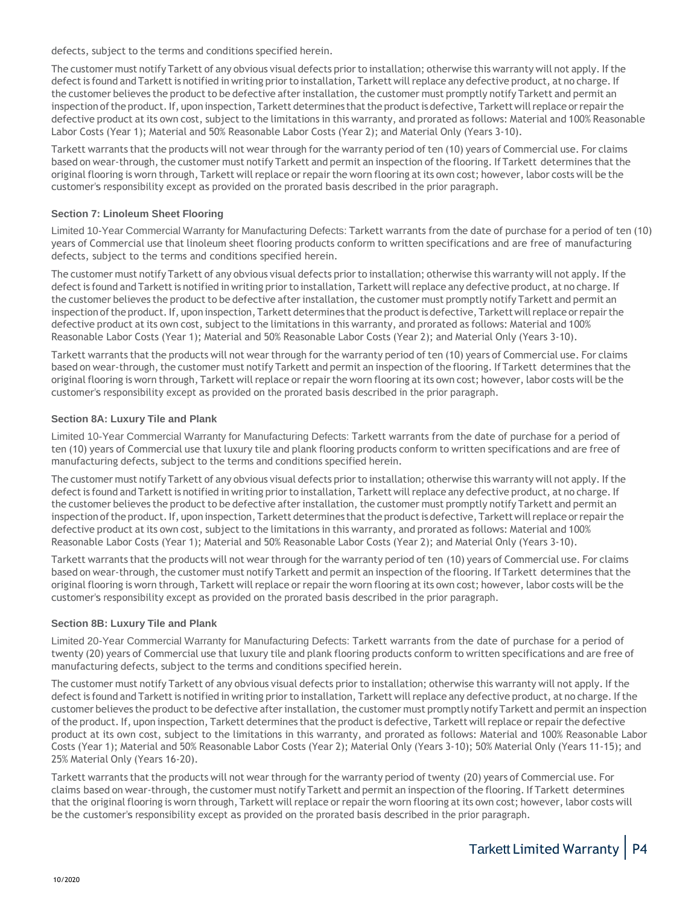defects, subject to the terms and conditions specified herein.

The customer must notify Tarkett of any obvious visual defects prior to installation; otherwise this warranty will not apply. If the defect is found and Tarkett is notified in writing prior to installation, Tarkett will replace any defective product, at no charge. If the customer believes the product to be defective after installation, the customer must promptly notify Tarkett and permit an inspection of the product. If, upon inspection, Tarkett determines that the product is defective, Tarkett will replace or repair the defective product at its own cost, subject to the limitations in this warranty, and prorated as follows: Material and 100% Reasonable Labor Costs (Year 1); Material and 50% Reasonable Labor Costs (Year 2); and Material Only (Years 3-10).

Tarkett warrants that the products will not wear through for the warranty period of ten (10) years of Commercial use. For claims based on wear-through, the customer must notify Tarkett and permit an inspection of the flooring. If Tarkett determines that the original flooring is worn through, Tarkett willreplace orrepairthe worn flooring atits own cost; however, labor costs will be the customer's responsibility except as provided on the prorated basis described in the prior paragraph.

# **Section 7: Linoleum Sheet Flooring**

Limited 10-Year Commercial Warranty for Manufacturing Defects: Tarkett warrants from the date of purchase for a period of ten (10) years of Commercial use that linoleum sheet flooring products conform to written specifications and are free of manufacturing defects, subject to the terms and conditions specified herein.

The customer must notify Tarkett of any obvious visual defects prior to installation; otherwise this warranty will not apply. If the defect is found and Tarkett is notified in writing prior to installation, Tarkett will replace any defective product, at no charge. If the customer believes the product to be defective after installation, the customer must promptly notify Tarkett and permit an inspection of the product. If, upon inspection, Tarkett determines that the product is defective, Tarkett will replace or repair the defective product at its own cost, subject to the limitations in this warranty, and prorated as follows: Material and 100% Reasonable Labor Costs (Year 1); Material and 50% Reasonable Labor Costs (Year 2); and Material Only (Years 3-10).

Tarkett warrants that the products will not wear through for the warranty period of ten (10) years of Commercial use. For claims based on wear-through, the customer must notify Tarkett and permit an inspection of the flooring. If Tarkett determines that the original flooring is worn through, Tarkett willreplace orrepairthe worn flooring atits own cost; however, labor costs will be the customer's responsibility except as provided on the prorated basis described in the prior paragraph.

# **Section 8A: Luxury Tile and Plank**

Limited 10-Year Commercial Warranty for Manufacturing Defects: Tarkett warrants from the date of purchase for a period of ten (10) years of Commercial use that luxury tile and plank flooring products conform to written specifications and are free of manufacturing defects, subject to the terms and conditions specified herein.

The customer must notify Tarkett of any obvious visual defects prior to installation; otherwise this warranty will not apply. If the defect is found and Tarkett is notified in writing prior to installation, Tarkett will replace any defective product, at no charge. If the customer believes the product to be defective after installation, the customer must promptly notify Tarkett and permit an inspection of the product. If, upon inspection, Tarkett determines that the product is defective, Tarkett will replace or repair the defective product at its own cost, subject to the limitations in this warranty, and prorated as follows: Material and 100% Reasonable Labor Costs (Year 1); Material and 50% Reasonable Labor Costs (Year 2); and Material Only (Years 3-10).

Tarkett warrants that the products will not wear through for the warranty period of ten (10) years of Commercial use. For claims based on wear-through, the customer must notify Tarkett and permit an inspection of the flooring. If Tarkett determines that the original flooring is worn through, Tarkett willreplace orrepairthe worn flooring atits own cost; however, labor costs will be the customer's responsibility except as provided on the prorated basis described in the prior paragraph.

# **Section 8B: Luxury Tile and Plank**

Limited 20-Year Commercial Warranty for Manufacturing Defects: Tarkett warrants from the date of purchase for a period of twenty (20) years of Commercial use that luxury tile and plank flooring products conform to written specifications and are free of manufacturing defects, subject to the terms and conditions specified herein.

The customer must notify Tarkett of any obvious visual defects prior to installation; otherwise this warranty will not apply. If the defect is found and Tarkett is notified in writing prior to installation, Tarkett will replace any defective product, at no charge. If the customer believes the product to be defective after installation, the customer must promptly notify Tarkett and permit an inspection of the product. If, upon inspection, Tarkett determines that the product is defective, Tarkett will replace or repair the defective product at its own cost, subject to the limitations in this warranty, and prorated as follows: Material and 100% Reasonable Labor Costs (Year 1); Material and 50% Reasonable Labor Costs (Year 2); Material Only (Years 3-10); 50% Material Only (Years 11-15); and 25% Material Only (Years 16-20).

Tarkett warrants that the products will not wear through for the warranty period of twenty (20) years of Commercial use. For claims based on wear-through, the customer must notify Tarkett and permit an inspection of the flooring. If Tarkett determines that the original flooring is worn through, Tarkett will replace or repair the worn flooring at its own cost; however, labor costs will be the customer's responsibility except as provided on the prorated basis described in the prior paragraph.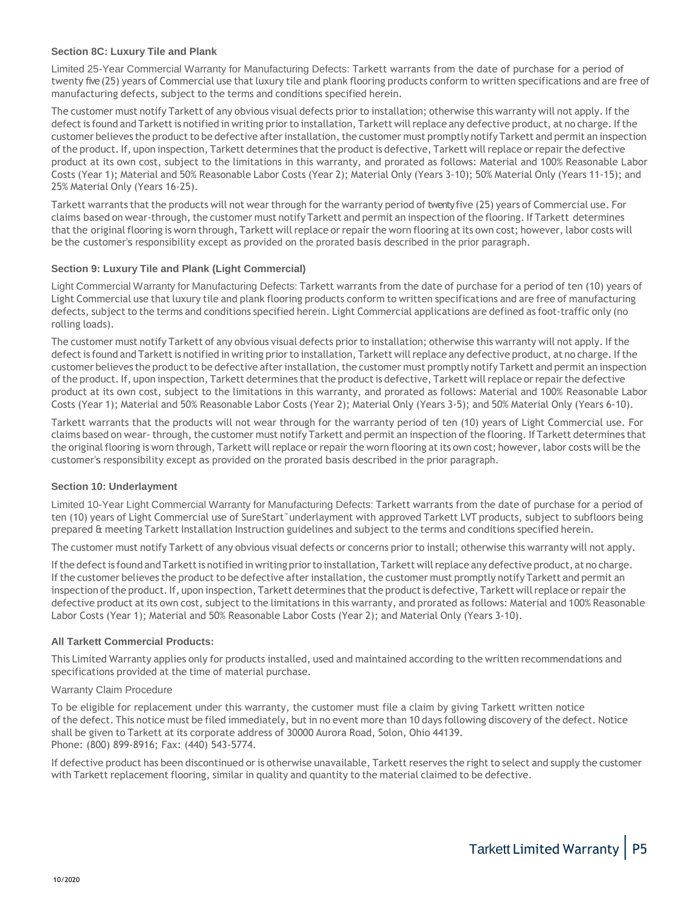## **Section 8C: Luxury Tile and Plank**

Limited 25-Year Commercial Warranty for Manufacturing Defects: Tarkett warrants from the date of purchase for a period of twenty five (25) years of Commercial use that luxury tile and plank flooring products conform to written specifications and are free of manufacturing defects, subject to the terms and conditions specified herein.

The customer must notify Tarkett of any obvious visual defects prior to installation; otherwise this warranty will not apply. If the defect is found and Tarkett is notified in writing prior to installation, Tarkett will replace any defective product, at no charge. If the customer believes the product to be defective after installation, the customer must promptly notify Tarkett and permit an inspection of the product. If, upon inspection, Tarkett determines that the product is defective, Tarkett will replace or repair the defective product at its own cost, subject to the limitations in this warranty, and prorated as follows: Material and 100% Reasonable Labor Costs (Year 1); Material and 50% Reasonable Labor Costs (Year 2); Material Only (Years 3-10); 50% Material Only (Years 11-15); and 25% Material Only (Years 16-25).

Tarkett warrants that the products will not wear through for the warranty period of twenty five (25) years of Commercial use. For claims based on wear-through, the customer must notify Tarkett and permit an inspection of the flooring. If Tarkett determines that the original flooring is worn through, Tarkett will replace or repair the worn flooring at its own cost; however, labor costs will be the customer's responsibility except as provided on the prorated basis described in the prior paragraph.

## **Section 9: Luxury Tile and Plank (Light Commercial)**

Light Commercial Warranty for Manufacturing Defects: Tarkett warrants from the date of purchase for a period of ten (10) years of Light Commercial use that luxury tile and plank flooring products conform to written specifications and are free of manufacturing defects, subject to the terms and conditions specified herein. Light Commercial applications are defined as foot-traffic only (no rolling loads).

The customer must notify Tarkett of any obvious visual defects prior to installation; otherwise this warranty will not apply. If the defect is found and Tarkett is notified in writing prior to installation, Tarkett will replace any defective product, at no charge. If the customer believes the product to be defective after installation, the customer must promptly notify Tarkett and permit an inspection of the product. If, upon inspection, Tarkett determines that the product is defective, Tarkett will replace or repair the defective product at its own cost, subject to the limitations in this warranty, and prorated as follows: Material and 100% Reasonable Labor Costs (Year 1); Material and 50% Reasonable Labor Costs (Year 2); Material Only (Years 3-5); and 50% Material Only (Years 6-10).

Tarkett warrants that the products will not wear through for the warranty period of ten (10) years of Light Commercial use. For claims based on wear-through, the customer must notify Tarkett and permit an inspection of the flooring. If Tarkett determines that the original flooring is worn through, Tarkett will replace or repair the worn flooring at its own cost; however, labor costs will be the customer's responsibility except as provided on the prorated basis described in the prior paragraph.

#### **Section 10: Underlayment**

Limited 10-Year Light Commercial Warranty for Manufacturing Defects: Tarkett warrants from the date of purchase for a period of ten (10) years of Light Commercial use of SureStart™ underlayment with approved Tarkett LVT products, subject to subfloors being prepared & meeting Tarkett Installation Instruction guidelines and subject to the terms and conditions specified herein.

The customer must notify Tarkett of any obvious visual defects or concerns prior to install; otherwise this warranty will not apply.

If the defect is found and Tarkett is notified in writing prior to installation, Tarkett will replace any defective product, at no charge. If the customer believes the product to be defective after installation, the customer must promptly notify Tarkett and permit an inspection of the product. If, upon inspection, Tarkett determines that the product is defective, Tarkett will replace or repair the defective product at its own cost, subject to the limitations in this warranty, and prorated as follows: Material and 100% Reasonable Labor Costs (Year 1); Material and 50% Reasonable Labor Costs (Year 2); and Material Only (Years 3-10).

#### **All Tarkett Commercial Products:**

This Limited Warranty applies only for products installed, used and maintained according to the written recommendations and specifications provided at the time of material purchase.

#### Warranty Claim Procedure

To be eligible for replacement under this warranty, the customer must file a claim by giving Tarkett written notice of the defect. This notice must be filed immediately, but in no event more than 10 days following discovery of the defect. Notice shall be given to Tarkett at its corporate address of 30000 Aurora Road, Solon, Ohio 44139. Phone: (800) 899-8916; Fax: (440) 543-5774.

If defective product has been discontinued or is otherwise unavailable, Tarkett reserves the right to select and supply the customer with Tarkett replacement flooring, similar in quality and quantity to the material claimed to be defective.